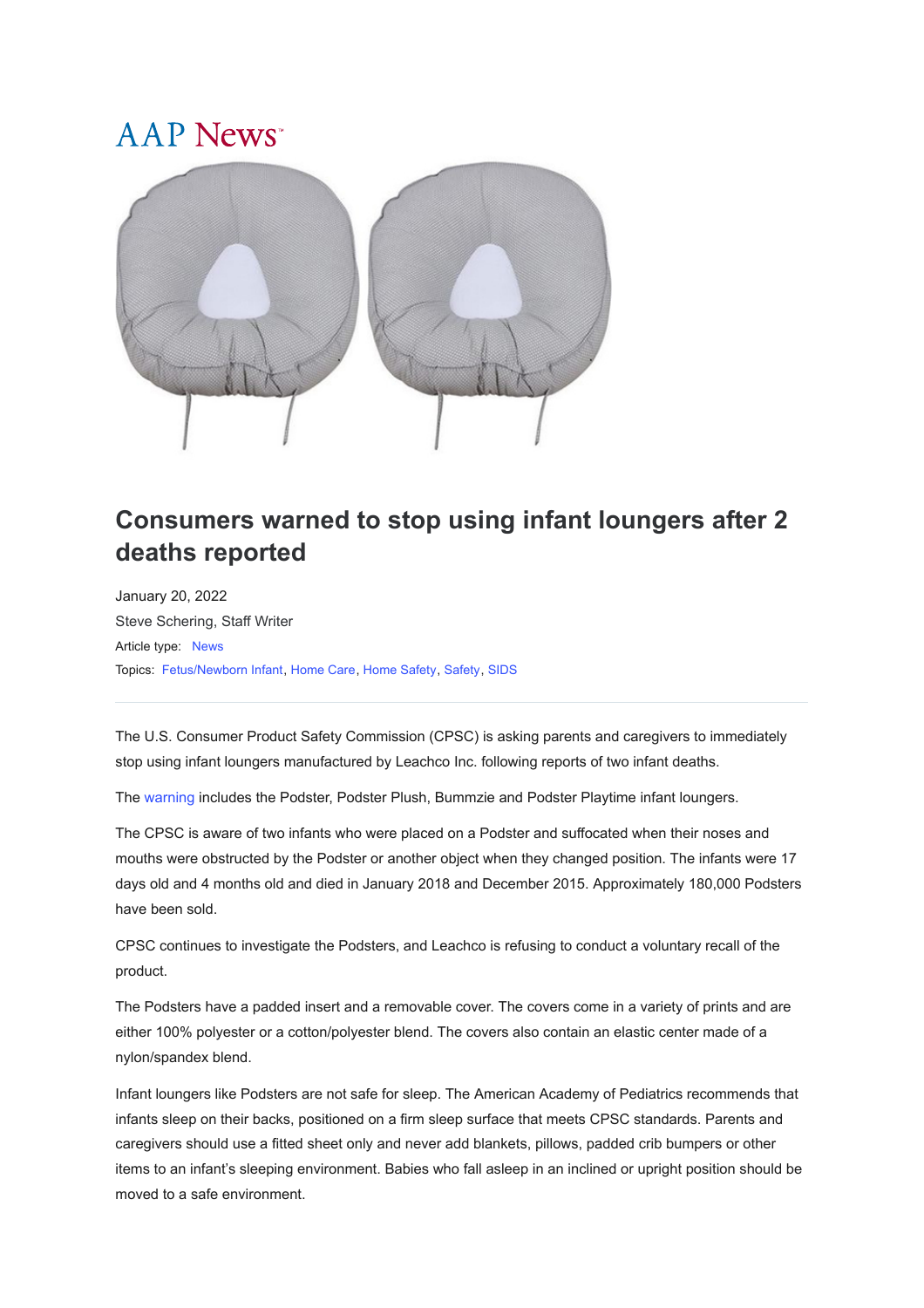## A A P News



## **Consumers warned to stop using infant loungers after 2 deaths reported**

January 20, 2022 [Steve Schering, Staff Writer](javascript:;) Article type: [News](https://publications.aap.org/aapnews/search-results?f_ArticleTypeDisplayName=News&fl_SiteID=1000011) Topics: [Fetus/Newborn Infant](https://publications.aap.org/aapnews/search-results?f_FacetCategoryIDs_1=128&fl_SiteID=1000011), [Home Care](https://publications.aap.org/aapnews/search-results?f_FacetCategoryIDs_1=148&fl_SiteID=1000011), [Home Safety](https://publications.aap.org/aapnews/search-results?f_FacetCategoryIDs_1=149&fl_SiteID=1000011), [Safety](https://publications.aap.org/aapnews/search-results?f_FacetCategoryIDs_1=225&fl_SiteID=1000011), [SIDS](https://publications.aap.org/aapnews/search-results?f_FacetCategoryIDs_1=267&fl_SiteID=1000011)

The U.S. Consumer Product Safety Commission (CPSC) is asking parents and caregivers to immediately stop using infant loungers manufactured by Leachco Inc. following reports of two infant deaths.

The [warning](https://www.cpsc.gov/Newsroom/News-Releases/2022/CPSC-Warns-Consumers-Stop-Using-the-Leachco-Podster-Podster-Plush-Bummzie-and-Podster-Playtime-Infant-Loungers-Due-to-Suffocation-Hazard-Two-Infant-Deaths-Investigated) includes the Podster, Podster Plush, Bummzie and Podster Playtime infant loungers.

The CPSC is aware of two infants who were placed on a Podster and suffocated when their noses and mouths were obstructed by the Podster or another object when they changed position. The infants were 17 days old and 4 months old and died in January 2018 and December 2015. Approximately 180,000 Podsters have been sold.

CPSC continues to investigate the Podsters, and Leachco is refusing to conduct a voluntary recall of the product.

The Podsters have a padded insert and a removable cover. The covers come in a variety of prints and are either 100% polyester or a cotton/polyester blend. The covers also contain an elastic center made of a nylon/spandex blend.

Infant loungers like Podsters are not safe for sleep. The American Academy of Pediatrics recommends that infants sleep on their backs, positioned on a firm sleep surface that meets CPSC standards. Parents and caregivers should use a fitted sheet only and never add blankets, pillows, padded crib bumpers or other items to an infant's sleeping environment. Babies who fall asleep in an inclined or upright position should be moved to a safe environment.